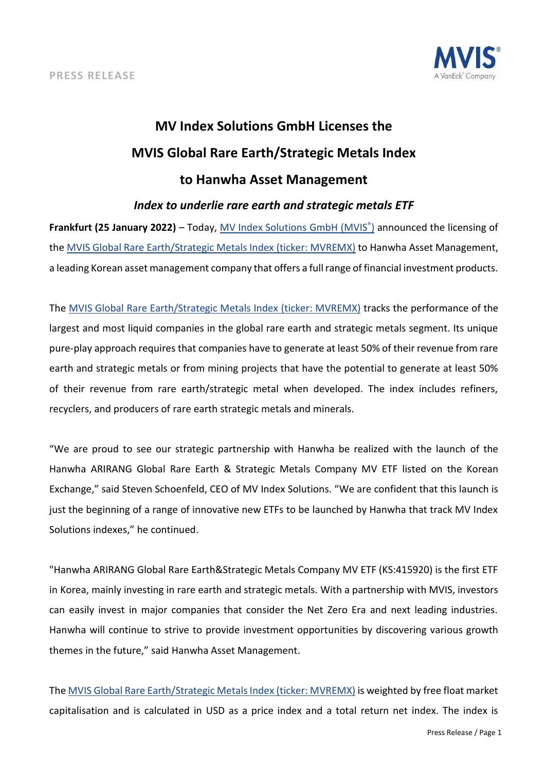

# **MV Index Solutions GmbH Licenses the MVIS Global Rare Earth/Strategic Metals Index to Hanwha Asset Management** *Index to underlie rare earth and strategic metals ETF*

# **Frankfurt (25 January 2022)** – Today, *MV Index Solutions GmbH (MVIS*<sup>®</sup>) announced the licensing of the [MVIS Global Rare Earth/Strategic Metals Index](https://www.mvis-indices.com/indices/hard-asset/mvis-global-rare-earth-strategic-metals?utm_source=mvis&utm_medium=pressrelease&utm_campaign=announcement) (ticker: MVREMX) to Hanwha Asset Management, a leading Korean asset management company that offers a full range of financial investment products.

The [MVIS Global Rare Earth/Strategic Metals Index](https://www.mvis-indices.com/indices/hard-asset/mvis-global-rare-earth-strategic-metals?utm_source=mvis&utm_medium=pressrelease&utm_campaign=announcement) (ticker: MVREMX) tracks the performance of the largest and most liquid companies in the global rare earth and strategic metals segment. Its unique pure-play approach requires that companies have to generate at least 50% of their revenue from rare earth and strategic metals or from mining projects that have the potential to generate at least 50% of their revenue from rare earth/strategic metal when developed. The index includes refiners, recyclers, and producers of rare earth strategic metals and minerals.

"We are proud to see our strategic partnership with Hanwha be realized with the launch of the Hanwha ARIRANG Global Rare Earth & Strategic Metals Company MV ETF listed on the Korean Exchange," said Steven Schoenfeld, CEO of MV Index Solutions. "We are confident that this launch is just the beginning of a range of innovative new ETFs to be launched by Hanwha that track MV Index Solutions indexes," he continued.

"Hanwha ARIRANG Global Rare Earth&Strategic Metals Company MV ETF (KS:415920) is the first ETF in Korea, mainly investing in rare earth and strategic metals. With a partnership with MVIS, investors can easily invest in major companies that consider the Net Zero Era and next leading industries. Hanwha will continue to strive to provide investment opportunities by discovering various growth themes in the future," said Hanwha Asset Management.

The [MVIS Global Rare Earth/Strategic Metals Index](https://www.mvis-indices.com/indices/hard-asset/mvis-global-rare-earth-strategic-metals?utm_source=mvis&utm_medium=pressrelease&utm_campaign=announcement) (ticker: MVREMX) is weighted by free float market capitalisation and is calculated in USD as a price index and a total return net index. The index is